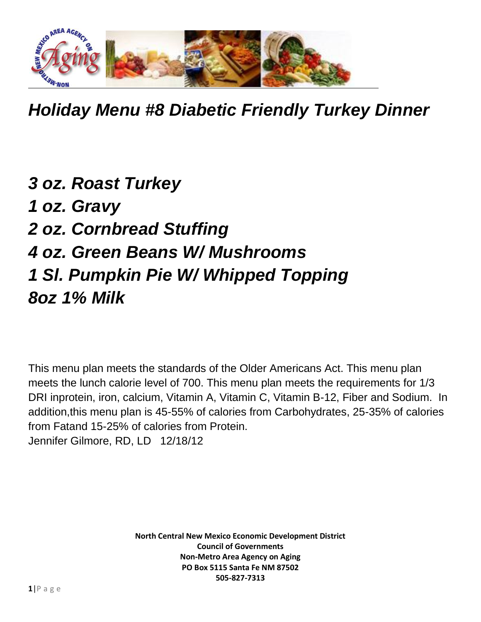

*Holiday Menu #8 Diabetic Friendly Turkey Dinner*

*3 oz. Roast Turkey 1 oz. Gravy 2 oz. Cornbread Stuffing 4 oz. Green Beans W/ Mushrooms 1 Sl. Pumpkin Pie W/ Whipped Topping 8oz 1% Milk*

This menu plan meets the standards of the Older Americans Act. This menu plan meets the lunch calorie level of 700. This menu plan meets the requirements for 1/3 DRI inprotein, iron, calcium, Vitamin A, Vitamin C, Vitamin B-12, Fiber and Sodium. In addition,this menu plan is 45-55% of calories from Carbohydrates, 25-35% of calories from Fatand 15-25% of calories from Protein. Jennifer Gilmore, RD, LD 12/18/12

> **North Central New Mexico Economic Development District Council of Governments Non-Metro Area Agency on Aging PO Box 5115 Santa Fe NM 87502 505-827-7313**